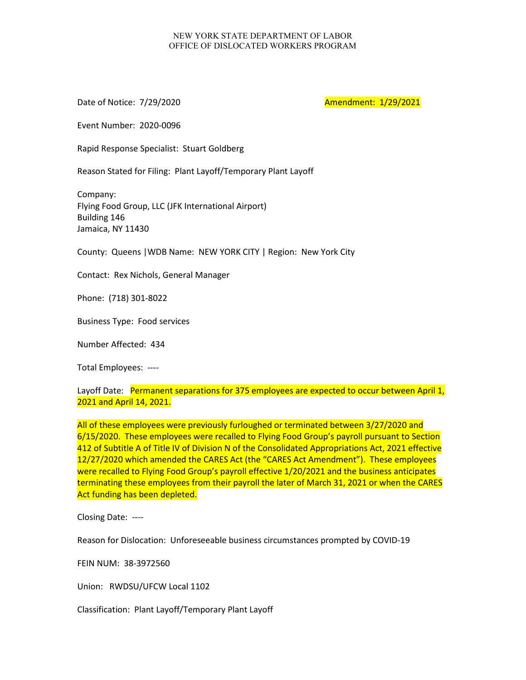## NEW YORK STATE DEPARTMENT OF LABOR OFFICE OF DISLOCATED WORKERS PROGRAM

Date of Notice: 7/29/2020 **Amendment: 1/29/2021** 

Event Number: 2020-0096

Rapid Response Specialist: Stuart Goldberg

Reason Stated for Filing: Plant Layoff/Temporary Plant Layoff

Company: Flying Food Group, LLC (JFK International Airport) Building 146 Jamaica, NY 11430

County: Queens |WDB Name: NEW YORK CITY | Region: New York City

Contact: Rex Nichols, General Manager

Phone: (718) 301-8022

Business Type: Food services

Number Affected: 434

Total Employees: ----

Layoff Date: Permanent separations for 375 employees are expected to occur between April 1, 2021 and April 14, 2021.

All of these employees were previously furloughed or terminated between 3/27/2020 and 6/15/2020. These employees were recalled to Flying Food Group's payroll pursuant to Section 412 of Subtitle A of Title IV of Division N of the Consolidated Appropriations Act, 2021 effective 12/27/2020 which amended the CARES Act (the "CARES Act Amendment"). These employees were recalled to Flying Food Group's payroll effective 1/20/2021 and the business anticipates terminating these employees from their payroll the later of March 31, 2021 or when the CARES Act funding has been depleted.

Closing Date: ----

Reason for Dislocation: Unforeseeable business circumstances prompted by COVID-19

FEIN NUM: 38-3972560

Union: RWDSU/UFCW Local 1102

Classification: Plant Layoff/Temporary Plant Layoff